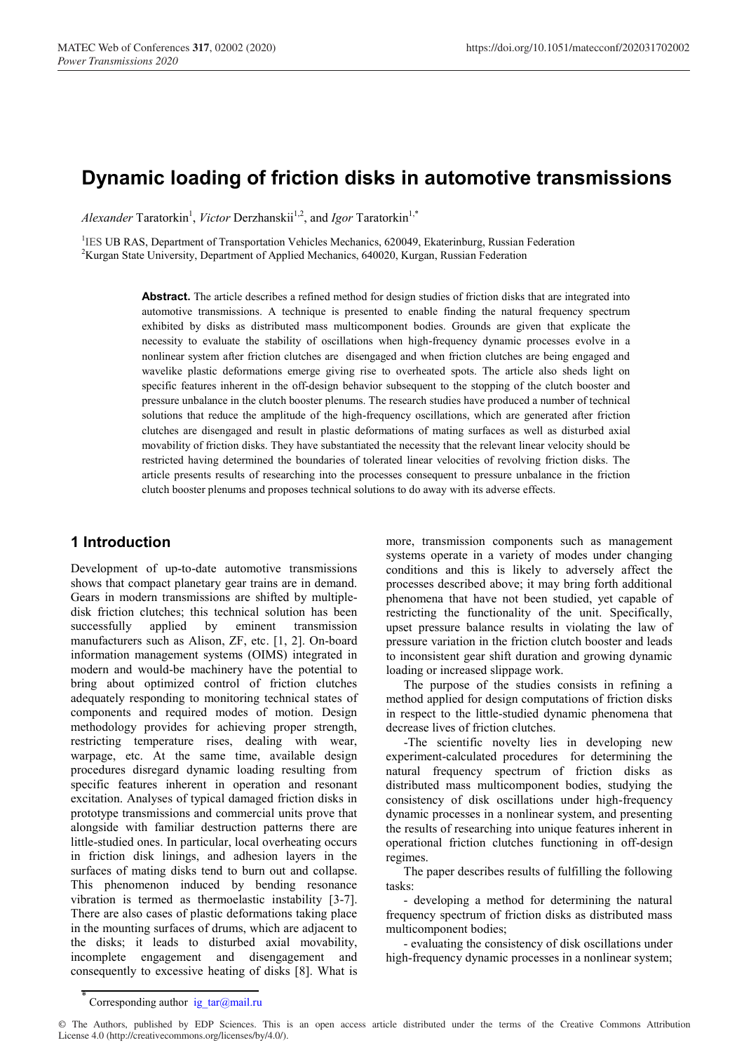# **Dynamic loading of friction disks in automotive transmissions**

*Alexander* Taratorkin<sup>1</sup>, *Victor* Derzhanskii<sup>1,2</sup>, and *Igor* Taratorkin<sup>1,\*</sup>

<sup>1</sup>IES UB RAS, Department of Transportation Vehicles Mechanics, 620049, Ekaterinburg, Russian Federation <sup>2</sup>Kurgan State University, Department of Applied Mechanics, 640020, Kurgan Pussian Eederation <sup>2</sup>Kurgan State University, Department of Applied Mechanics, 640020, Kurgan, Russian Federation

> **Abstract.** The article describes a refined method for design studies of friction disks that are integrated into automotive transmissions. A technique is presented to enable finding the natural frequency spectrum exhibited by disks as distributed mass multicomponent bodies. Grounds are given that explicate the necessity to evaluate the stability of oscillations when high-frequency dynamic processes evolve in a nonlinear system after friction clutches are disengaged and when friction clutches are being engaged and wavelike plastic deformations emerge giving rise to overheated spots. The article also sheds light on specific features inherent in the off-design behavior subsequent to the stopping of the clutch booster and pressure unbalance in the clutch booster plenums. The research studies have produced a number of technical solutions that reduce the amplitude of the high-frequency oscillations, which are generated after friction clutches are disengaged and result in plastic deformations of mating surfaces as well as disturbed axial movability of friction disks. They have substantiated the necessity that the relevant linear velocity should be restricted having determined the boundaries of tolerated linear velocities of revolving friction disks. The article presents results of researching into the processes consequent to pressure unbalance in the friction clutch booster plenums and proposes technical solutions to do away with its adverse effects.

### **1 Introduction**

Development of up-to-date automotive transmissions shows that compact planetary gear trains are in demand. Gears in modern transmissions are shifted by multipledisk friction clutches; this technical solution has been successfully applied by eminent transmission manufacturers such as Alison, ZF, etc. [1, 2]. On-board information management systems (OIMS) integrated in modern and would-be machinery have the potential to bring about optimized control of friction clutches adequately responding to monitoring technical states of components and required modes of motion. Design methodology provides for achieving proper strength, restricting temperature rises, dealing with wear, warpage, etc. At the same time, available design procedures disregard dynamic loading resulting from specific features inherent in operation and resonant excitation. Analyses of typical damaged friction disks in prototype transmissions and commercial units prove that alongside with familiar destruction patterns there are little-studied ones. In particular, local overheating occurs in friction disk linings, and adhesion layers in the surfaces of mating disks tend to burn out and collapse. This phenomenon induced by bending resonance vibration is termed as thermoelastic instability [3-7]. There are also cases of plastic deformations taking place in the mounting surfaces of drums, which are adjacent to the disks; it leads to disturbed axial movability, incomplete engagement and disengagement and consequently to excessive heating of disks [8]. What is

more, transmission components such as management systems operate in a variety of modes under changing conditions and this is likely to adversely affect the processes described above; it may bring forth additional phenomena that have not been studied, yet capable of restricting the functionality of the unit. Specifically, upset pressure balance results in violating the law of pressure variation in the friction clutch booster and leads to inconsistent gear shift duration and growing dynamic loading or increased slippage work.

The purpose of the studies consists in refining a method applied for design computations of friction disks in respect to the little-studied dynamic phenomena that decrease lives of friction clutches.

-The scientific novelty lies in developing new experiment-calculated procedures for determining the natural frequency spectrum of friction disks as distributed mass multicomponent bodies, studying the consistency of disk oscillations under high-frequency dynamic processes in a nonlinear system, and presenting the results of researching into unique features inherent in operational friction clutches functioning in off-design regimes.

The paper describes results of fulfilling the following tasks:

- developing a method for determining the natural frequency spectrum of friction disks as distributed mass multicomponent bodies;

- evaluating the consistency of disk oscillations under high-frequency dynamic processes in a nonlinear system;

Corresponding author ig  $tar@mail.ru$ 

<sup>©</sup> The Authors, published by EDP Sciences. This is an open access article distributed under the terms of the Creative Commons Attribution License 4.0 (http://creativecommons.org/licenses/by/4.0/).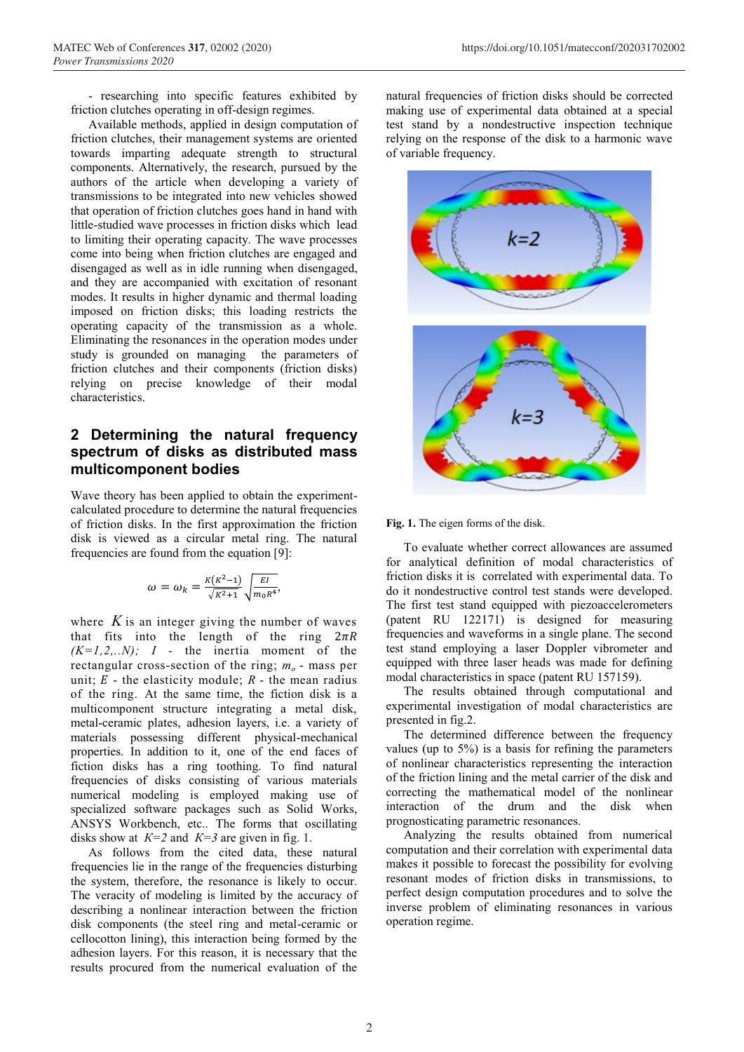- researching into specific features exhibited by friction clutches operating in off-design regimes.

Available methods, applied in design computation of friction clutches, their management systems are oriented towards imparting adequate strength to structural components. Alternatively, the research, pursued by the authors of the article when developing a variety of transmissions to be integrated into new vehicles showed that operation of friction clutches goes hand in hand with little-studied wave processes in friction disks which lead to limiting their operating capacity. The wave processes come into being when friction clutches are engaged and disengaged as well as in idle running when disengaged, and they are accompanied with excitation of resonant modes. It results in higher dynamic and thermal loading imposed on friction disks; this loading restricts the operating capacity of the transmission as a whole. Eliminating the resonances in the operation modes under study is grounded on managing the parameters of friction clutches and their components (friction disks) relying on precise knowledge of their modal characteristics.

### **2 Determining the natural frequency spectrum of disks as distributed mass multicomponent bodies**

Wave theory has been applied to obtain the experimentcalculated procedure to determine the natural frequencies of friction disks. In the first approximation the friction disk is viewed as a circular metal ring. The natural frequencies are found from the equation [9]:

$$
\omega = \omega_k = \frac{\kappa(\kappa^2 - 1)}{\sqrt{\kappa^2 + 1}} \sqrt{\frac{EI}{m_0 R^4}},
$$

where  $K$  is an integer giving the number of waves that fits into the length of the ring  $2\pi R$ *(K=1,2,..N); I -* the inertia moment of the rectangular cross-section of the ring;  $m<sub>o</sub>$  - mass per unit;  $E$  - the elasticity module;  $R$  - the mean radius of the ring. At the same time, the fiction disk is a multicomponent structure integrating a metal disk, metal-ceramic plates, adhesion layers, i.e. a variety of materials possessing different physical-mechanical properties. In addition to it, one of the end faces of fiction disks has a ring toothing. To find natural frequencies of disks consisting of various materials numerical modeling is employed making use of specialized software packages such as Solid Works, ANSYS Workbench, etc.. The forms that oscillating disks show at  $K=2$  and  $K=3$  are given in fig. 1.

As follows from the cited data, these natural frequencies lie in the range of the frequencies disturbing the system, therefore, the resonance is likely to occur. The veracity of modeling is limited by the accuracy of describing a nonlinear interaction between the friction disk components (the steel ring and metal-ceramic or cellocotton lining), this interaction being formed by the adhesion layers. For this reason, it is necessary that the results procured from the numerical evaluation of the natural frequencies of friction disks should be corrected making use of experimental data obtained at a special test stand by a nondestructive inspection technique relying on the response of the disk to a harmonic wave of variable frequency.



#### **Fig. 1.** The eigen forms of the disk.

To evaluate whether correct allowances are assumed for analytical definition of modal characteristics of friction disks it is correlated with experimental data. To do it nondestructive control test stands were developed. The first test stand equipped with piezoaccelerometers (patent RU 122171) is designed for measuring frequencies and waveforms in a single plane. The second test stand employing a laser Doppler vibrometer and equipped with three laser heads was made for defining modal characteristics in space (patent RU 157159).

The results obtained through computational and experimental investigation of modal characteristics are presented in fig.2.

The determined difference between the frequency values (up to  $5\%$ ) is a basis for refining the parameters of nonlinear characteristics representing the interaction of the friction lining and the metal carrier of the disk and correcting the mathematical model of the nonlinear interaction of the drum and the disk when prognosticating parametric resonances.

Analyzing the results obtained from numerical computation and their correlation with experimental data makes it possible to forecast the possibility for evolving resonant modes of friction disks in transmissions, to perfect design computation procedures and to solve the inverse problem of eliminating resonances in various operation regime.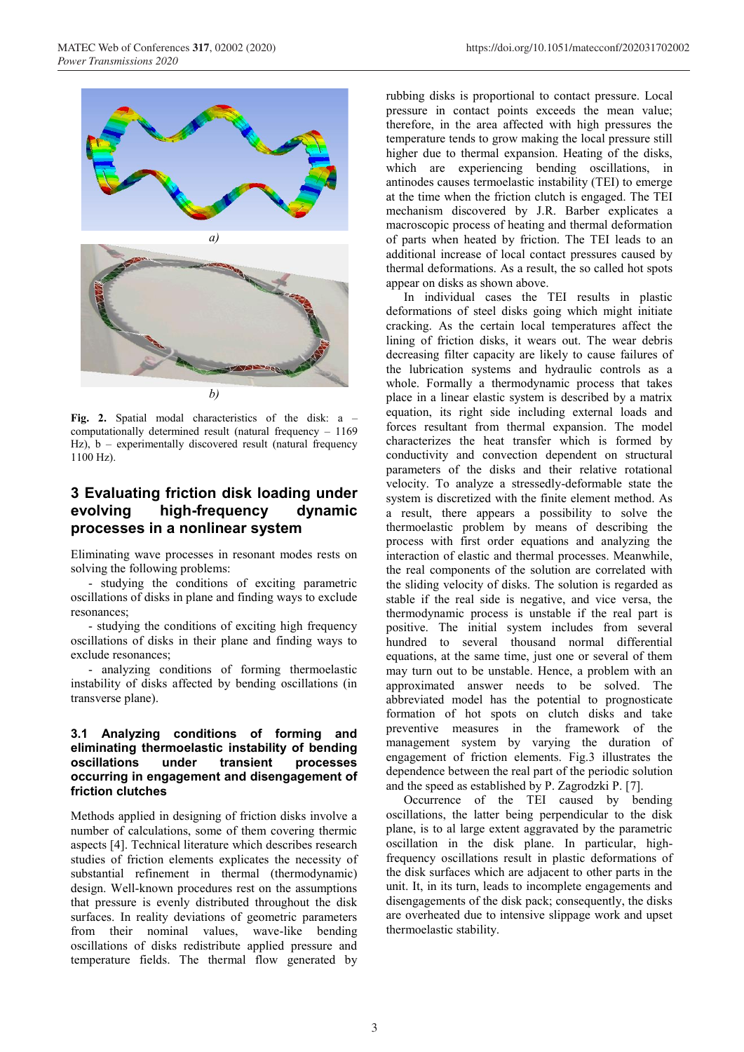

**Fig. 2.** Spatial modal characteristics of the disk: a – computationally determined result (natural frequency – 1169 Hz), b – experimentally discovered result (natural frequency 1100 Hz).

### **3 Evaluating friction disk loading under evolving high-frequency dynamic processes in a nonlinear system**

Eliminating wave processes in resonant modes rests on solving the following problems:

- studying the conditions of exciting parametric oscillations of disks in plane and finding ways to exclude resonances;

- studying the conditions of exciting high frequency oscillations of disks in their plane and finding ways to exclude resonances;

- analyzing conditions of forming thermoelastic instability of disks affected by bending oscillations (in transverse plane).

### **3.1 Analyzing conditions of forming and eliminating thermoelastic instability of bending oscillations under transient processes occurring in engagement and disengagement of friction clutches**

Methods applied in designing of friction disks involve a number of calculations, some of them covering thermic aspects [4]. Technical literature which describes research studies of friction elements explicates the necessity of substantial refinement in thermal (thermodynamic) design. Well-known procedures rest on the assumptions that pressure is evenly distributed throughout the disk surfaces. In reality deviations of geometric parameters from their nominal values, wave-like bending oscillations of disks redistribute applied pressure and temperature fields. The thermal flow generated by rubbing disks is proportional to contact pressure. Local pressure in contact points exceeds the mean value; therefore, in the area affected with high pressures the temperature tends to grow making the local pressure still higher due to thermal expansion. Heating of the disks, which are experiencing bending oscillations, in antinodes causes termoelastic instability (TEI) to emerge at the time when the friction clutch is engaged. The TEI mechanism discovered by J.R. Barber explicates a macroscopic process of heating and thermal deformation of parts when heated by friction. The TEI leads to an additional increase of local contact pressures caused by thermal deformations. As a result, the so called hot spots appear on disks as shown above.

In individual cases the TEI results in plastic deformations of steel disks going which might initiate cracking. As the certain local temperatures affect the lining of friction disks, it wears out. The wear debris decreasing filter capacity are likely to cause failures of the lubrication systems and hydraulic controls as a whole. Formally a thermodynamic process that takes place in a linear elastic system is described by a matrix equation, its right side including external loads and forces resultant from thermal expansion. The model characterizes the heat transfer which is formed by conductivity and convection dependent on structural parameters of the disks and their relative rotational velocity. To analyze a stressedly-deformable state the system is discretized with the finite element method. As a result, there appears a possibility to solve the thermoelastic problem by means of describing the process with first order equations and analyzing the interaction of elastic and thermal processes. Meanwhile, the real components of the solution are correlated with the sliding velocity of disks. The solution is regarded as stable if the real side is negative, and vice versa, the thermodynamic process is unstable if the real part is positive. The initial system includes from several hundred to several thousand normal differential equations, at the same time, just one or several of them may turn out to be unstable. Hence, a problem with an approximated answer needs to be solved. The abbreviated model has the potential to prognosticate formation of hot spots on clutch disks and take preventive measures in the framework of the management system by varying the duration of engagement of friction elements. Fig.3 illustrates the dependence between the real part of the periodic solution and the speed as established by P. Zagrodzki P. [7].

Occurrence of the TEI caused by bending oscillations, the latter being perpendicular to the disk plane, is to al large extent aggravated by the parametric oscillation in the disk plane. In particular, highfrequency oscillations result in plastic deformations of the disk surfaces which are adjacent to other parts in the unit. It, in its turn, leads to incomplete engagements and disengagements of the disk pack; consequently, the disks are overheated due to intensive slippage work and upset thermoelastic stability.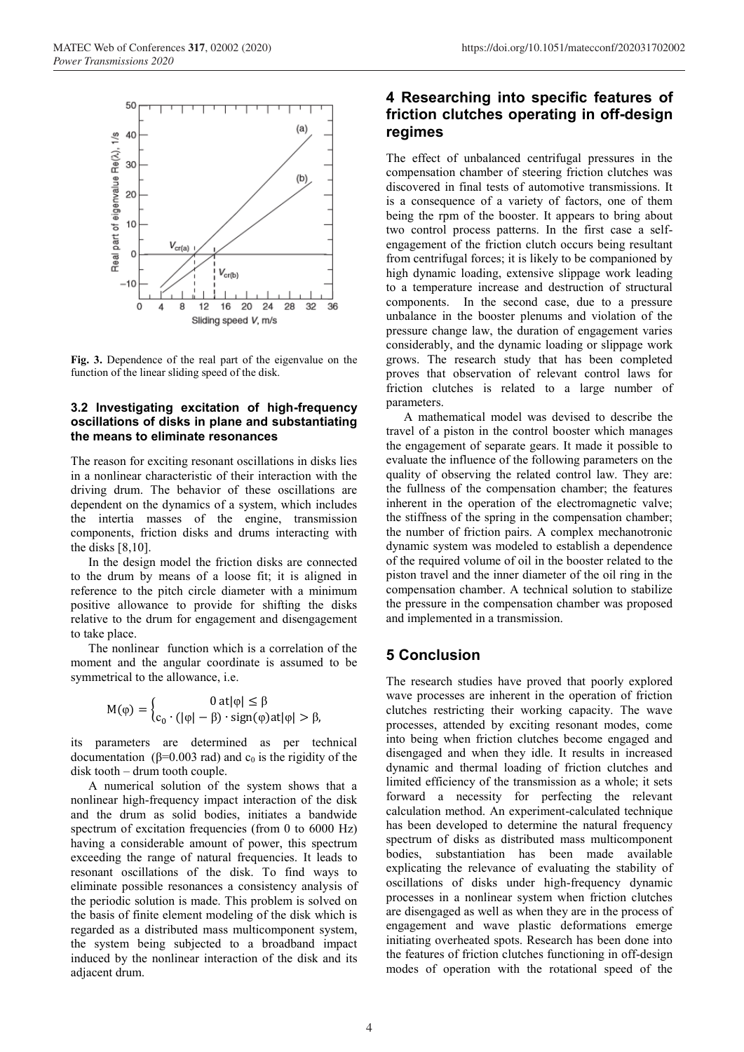

**Fig. 3.** Dependence of the real part of the eigenvalue on the function of the linear sliding speed of the disk.

#### **3.2 Investigating excitation of high-frequency oscillations of disks in plane and substantiating the means to eliminate resonances**

The reason for exciting resonant oscillations in disks lies in a nonlinear characteristic of their interaction with the driving drum. The behavior of these oscillations are dependent on the dynamics of a system, which includes the intertia masses of the engine, transmission components, friction disks and drums interacting with the disks [8,10].

In the design model the friction disks are connected to the drum by means of a loose fit; it is aligned in reference to the pitch circle diameter with a minimum positive allowance to provide for shifting the disks relative to the drum for engagement and disengagement to take place.

The nonlinear function which is a correlation of the moment and the angular coordinate is assumed to be symmetrical to the allowance, i.e.

$$
M(\phi) = \begin{cases} 0 \text{ at } |\phi| \leq \beta \\ c_0 \cdot (|\phi| - \beta) \cdot \text{sign}(\phi) \text{at } |\phi| > \beta, \end{cases}
$$

its parameters are determined as per technical documentation ( $\beta$ =0.003 rad) and  $c_0$  is the rigidity of the disk tooth – drum tooth couple.

A numerical solution of the system shows that a nonlinear high-frequency impact interaction of the disk and the drum as solid bodies, initiates a bandwide spectrum of excitation frequencies (from 0 to 6000 Hz) having a considerable amount of power, this spectrum exceeding the range of natural frequencies. It leads to resonant oscillations of the disk. To find ways to eliminate possible resonances a consistency analysis of the periodic solution is made. This problem is solved on the basis of finite element modeling of the disk which is regarded as a distributed mass multicomponent system, the system being subjected to a broadband impact induced by the nonlinear interaction of the disk and its adjacent drum.

### **4 Researching into specific features of friction clutches operating in off-design regimes**

The effect of unbalanced centrifugal pressures in the compensation chamber of steering friction clutches was discovered in final tests of automotive transmissions. It is a consequence of a variety of factors, one of them being the rpm of the booster. It appears to bring about two control process patterns. In the first case a selfengagement of the friction clutch occurs being resultant from centrifugal forces; it is likely to be companioned by high dynamic loading, extensive slippage work leading to a temperature increase and destruction of structural components. In the second case, due to a pressure unbalance in the booster plenums and violation of the pressure change law, the duration of engagement varies considerably, and the dynamic loading or slippage work grows. The research study that has been completed proves that observation of relevant control laws for friction clutches is related to a large number of parameters.

A mathematical model was devised to describe the travel of a piston in the control booster which manages the engagement of separate gears. It made it possible to evaluate the influence of the following parameters on the quality of observing the related control law. They are: the fullness of the compensation chamber; the features inherent in the operation of the electromagnetic valve; the stiffness of the spring in the compensation chamber; the number of friction pairs. A complex mechanotronic dynamic system was modeled to establish a dependence of the required volume of oil in the booster related to the piston travel and the inner diameter of the oil ring in the compensation chamber. A technical solution to stabilize the pressure in the compensation chamber was proposed and implemented in a transmission.

## **5 Conclusion**

The research studies have proved that poorly explored wave processes are inherent in the operation of friction clutches restricting their working capacity. The wave processes, attended by exciting resonant modes, come into being when friction clutches become engaged and disengaged and when they idle. It results in increased dynamic and thermal loading of friction clutches and limited efficiency of the transmission as a whole; it sets forward a necessity for perfecting the relevant calculation method. An experiment-calculated technique has been developed to determine the natural frequency spectrum of disks as distributed mass multicomponent bodies, substantiation has been made available explicating the relevance of evaluating the stability of oscillations of disks under high-frequency dynamic processes in a nonlinear system when friction clutches are disengaged as well as when they are in the process of engagement and wave plastic deformations emerge initiating overheated spots. Research has been done into the features of friction clutches functioning in off-design modes of operation with the rotational speed of the